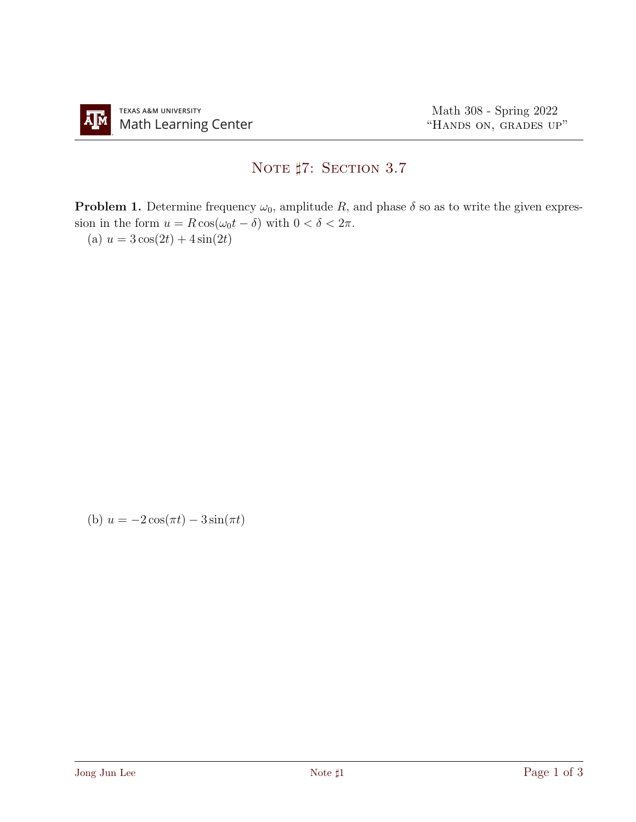## NOTE #7: SECTION 3.7

**Problem 1.** Determine frequency  $\omega_0$ , amplitude R, and phase  $\delta$  so as to write the given expression in the form  $u = R \cos(\omega_0 t - \delta)$  with  $0 < \delta < 2\pi$ .

(a)  $u = 3\cos(2t) + 4\sin(2t)$ 

(b) 
$$
u = -2\cos(\pi t) - 3\sin(\pi t)
$$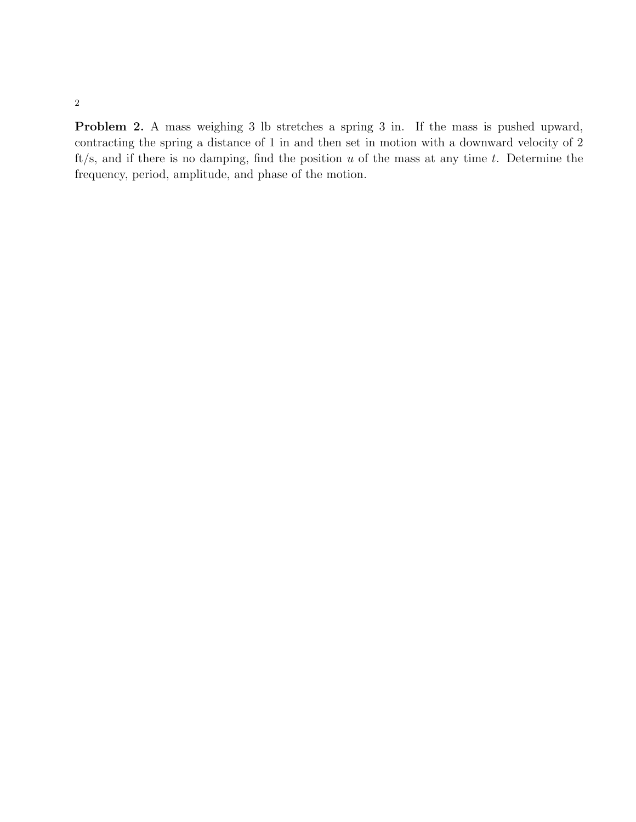Problem 2. A mass weighing 3 lb stretches a spring 3 in. If the mass is pushed upward, contracting the spring a distance of 1 in and then set in motion with a downward velocity of 2 ft/s, and if there is no damping, find the position  $u$  of the mass at any time  $t$ . Determine the frequency, period, amplitude, and phase of the motion.